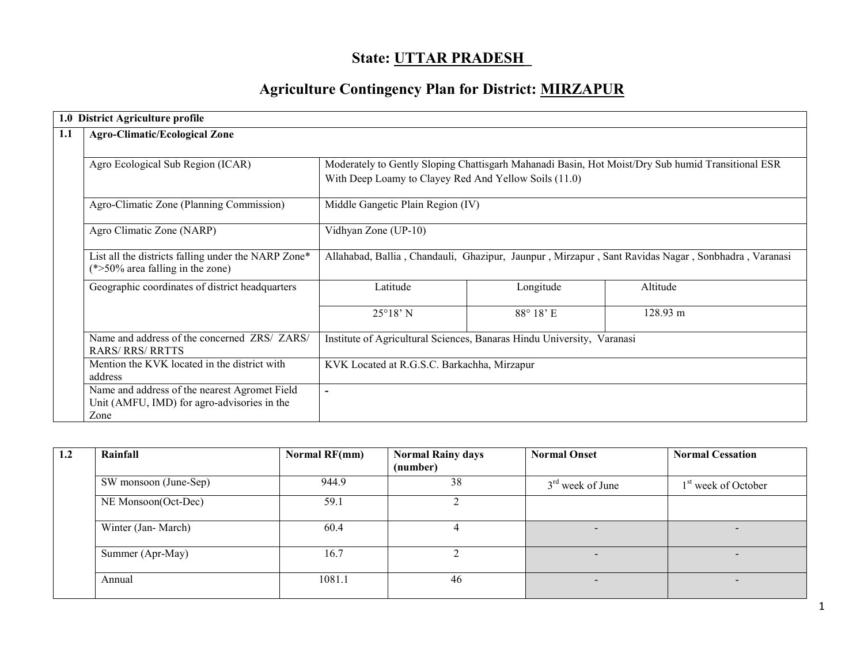# State: <u>UTTAR PRADESH</u>

# Agriculture Contingency Plan for District: MIRZAPUR

|     | 1.0 District Agriculture profile                                                                     |                                                                                                    |                  |          |  |  |  |  |
|-----|------------------------------------------------------------------------------------------------------|----------------------------------------------------------------------------------------------------|------------------|----------|--|--|--|--|
| 1.1 | <b>Agro-Climatic/Ecological Zone</b>                                                                 |                                                                                                    |                  |          |  |  |  |  |
|     |                                                                                                      |                                                                                                    |                  |          |  |  |  |  |
|     | Agro Ecological Sub Region (ICAR)                                                                    | Moderately to Gently Sloping Chattisgarh Mahanadi Basin, Hot Moist/Dry Sub humid Transitional ESR  |                  |          |  |  |  |  |
|     |                                                                                                      | With Deep Loamy to Clayey Red And Yellow Soils (11.0)                                              |                  |          |  |  |  |  |
|     | Agro-Climatic Zone (Planning Commission)                                                             | Middle Gangetic Plain Region (IV)                                                                  |                  |          |  |  |  |  |
|     | Agro Climatic Zone (NARP)                                                                            | Vidhyan Zone (UP-10)                                                                               |                  |          |  |  |  |  |
|     | List all the districts falling under the NARP Zone*<br>$(*>50\%$ area falling in the zone)           | Allahabad, Ballia, Chandauli, Ghazipur, Jaunpur, Mirzapur, Sant Ravidas Nagar, Sonbhadra, Varanasi |                  |          |  |  |  |  |
|     | Geographic coordinates of district headquarters                                                      | Latitude                                                                                           | Longitude        | Altitude |  |  |  |  |
|     |                                                                                                      | $25^{\circ}18'$ N                                                                                  | $88^\circ 18$ 'E | 128.93 m |  |  |  |  |
|     | Name and address of the concerned ZRS/ ZARS/<br><b>RARS/RRS/RRTTS</b>                                | Institute of Agricultural Sciences, Banaras Hindu University, Varanasi                             |                  |          |  |  |  |  |
|     | Mention the KVK located in the district with<br>address                                              | KVK Located at R.G.S.C. Barkachha, Mirzapur                                                        |                  |          |  |  |  |  |
|     | Name and address of the nearest Agromet Field<br>Unit (AMFU, IMD) for agro-advisories in the<br>Zone | $\blacksquare$                                                                                     |                  |          |  |  |  |  |

| 1.2 | Rainfall              | Normal RF(mm) | <b>Normal Rainy days</b> | <b>Normal Onset</b> | <b>Normal Cessation</b>         |
|-----|-----------------------|---------------|--------------------------|---------------------|---------------------------------|
|     |                       |               | (number)                 |                     |                                 |
|     | SW monsoon (June-Sep) | 944.9         | 38                       | $3rd$ week of June  | 1 <sup>st</sup> week of October |
|     | NE Monsoon(Oct-Dec)   | 59.1          |                          |                     |                                 |
|     | Winter (Jan-March)    | 60.4          |                          | $\sim$              |                                 |
|     | Summer (Apr-May)      | 16.7          |                          | $\sim$              |                                 |
|     | Annual                | 1081.1        | 46                       | $\sim$              | $\overline{\phantom{0}}$        |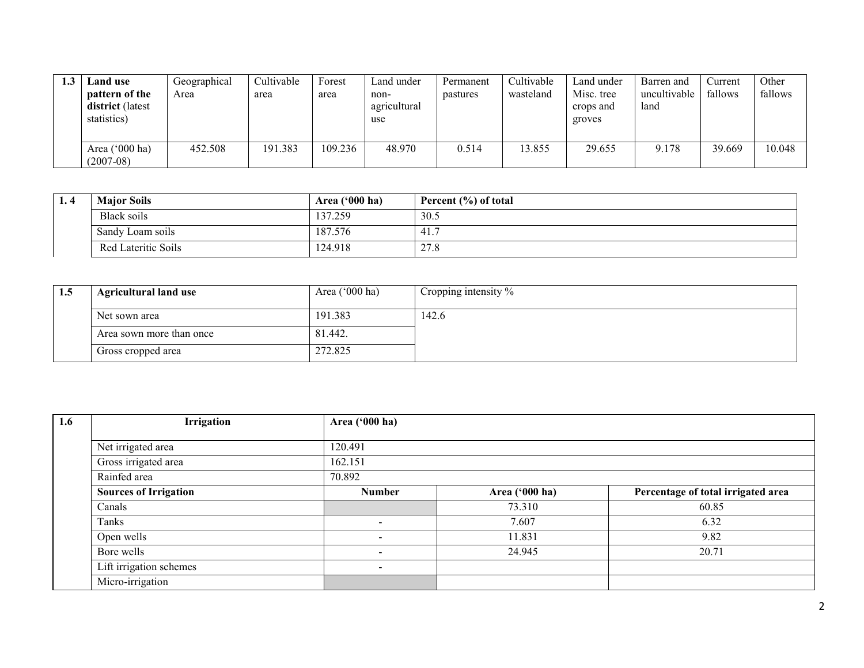| <b>Land use</b><br>pattern of the<br>district (latest<br>statistics) | Geographical<br>Area | Cultivable<br>area | Forest<br>area | Land under<br>non-<br>agricultural<br>use | Permanent<br>pastures | Cultivable<br>wasteland | Land under<br>Misc. tree<br>crops and<br>groves | Barren and<br>uncultivable<br>land | Current<br>fallows | Other<br>fallows |
|----------------------------------------------------------------------|----------------------|--------------------|----------------|-------------------------------------------|-----------------------|-------------------------|-------------------------------------------------|------------------------------------|--------------------|------------------|
| Area $('000 ha)$<br>$(2007-08)$                                      | 452.508              | 191.383            | 109.236        | 48.970                                    | 0.514                 | 3.855                   | 29.655                                          | 9.178                              | 39.669             | 10.048           |

| $\mathbf{I}$ .4 | <b>Major Soils</b>  | Area $('000 ha)$ | Percent $(\% )$ of total |
|-----------------|---------------------|------------------|--------------------------|
|                 | Black soils         | 137.259          | 30.5                     |
|                 | Sandy Loam soils    | 187.576          | 41.7                     |
|                 | Red Lateritic Soils | 124.918          | 27.8                     |

| 1.5 | <b>Agricultural land use</b> | Area $(000 \text{ ha})$ | Cropping intensity $\%$ |
|-----|------------------------------|-------------------------|-------------------------|
|     | Net sown area                | 191.383                 | 142.6                   |
|     | Area sown more than once     | 81.442.                 |                         |
|     | Gross cropped area           | 272.825                 |                         |

| 1.6 | Irrigation                   | Area ('000 ha)           |                |                                    |
|-----|------------------------------|--------------------------|----------------|------------------------------------|
|     |                              |                          |                |                                    |
|     | Net irrigated area           | 120.491                  |                |                                    |
|     | Gross irrigated area         | 162.151                  |                |                                    |
|     | Rainfed area                 | 70.892                   |                |                                    |
|     | <b>Sources of Irrigation</b> | <b>Number</b>            | Area ('000 ha) | Percentage of total irrigated area |
|     | Canals                       |                          | 73.310         | 60.85                              |
|     | Tanks                        | $\overline{\phantom{a}}$ | 7.607          | 6.32                               |
|     | Open wells                   | $\overline{\phantom{0}}$ | 11.831         | 9.82                               |
|     | Bore wells                   | $\overline{\phantom{0}}$ | 24.945         | 20.71                              |
|     | Lift irrigation schemes      | $\overline{\phantom{a}}$ |                |                                    |
|     | Micro-irrigation             |                          |                |                                    |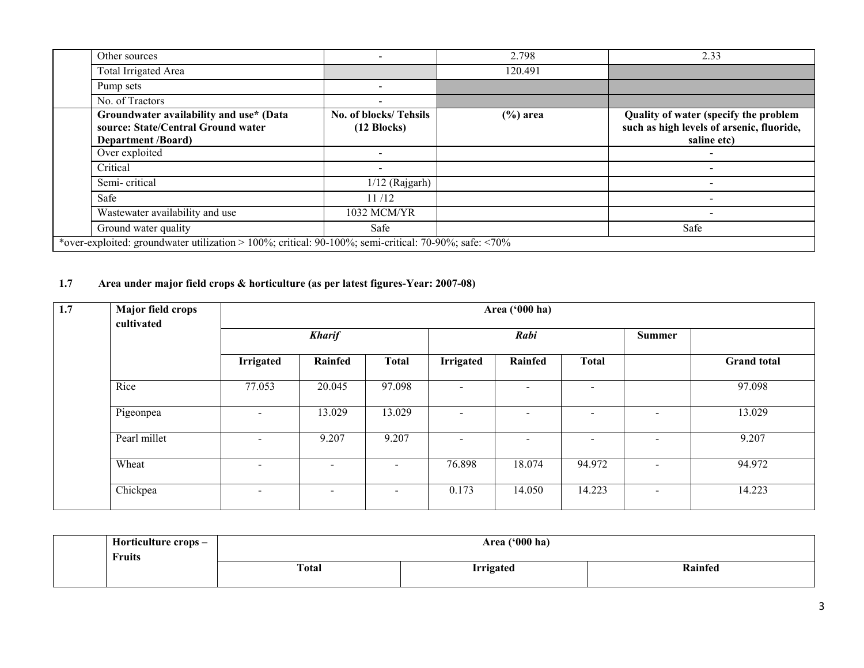| Other sources                                                                                              |                                                | 2.798       | 2.33                                                                                              |
|------------------------------------------------------------------------------------------------------------|------------------------------------------------|-------------|---------------------------------------------------------------------------------------------------|
| <b>Total Irrigated Area</b>                                                                                |                                                | 120.491     |                                                                                                   |
| Pump sets                                                                                                  | -                                              |             |                                                                                                   |
| No. of Tractors                                                                                            |                                                |             |                                                                                                   |
| Groundwater availability and use* (Data<br>source: State/Central Ground water<br><b>Department /Board)</b> | No. of blocks/Tehsils<br>$(12 \text{ Blocks})$ | $(\%)$ area | Quality of water (specify the problem<br>such as high levels of arsenic, fluoride,<br>saline etc) |
| Over exploited                                                                                             | $\overline{\phantom{a}}$                       |             |                                                                                                   |
| Critical                                                                                                   | $\overline{\phantom{a}}$                       |             |                                                                                                   |
| Semi-critical                                                                                              | $1/12$ (Rajgarh)                               |             |                                                                                                   |
| Safe                                                                                                       | 11/12                                          |             |                                                                                                   |
| Wastewater availability and use                                                                            | 1032 MCM/YR                                    |             |                                                                                                   |
| Ground water quality                                                                                       | Safe                                           |             | Safe                                                                                              |
| *over-exploited: groundwater utilization > 100%; critical: 90-100%; semi-critical: 70-90%; safe: <70%      |                                                |             |                                                                                                   |

# 1.7 Area under major field crops & horticulture (as per latest figures-Year: 2007-08)

| 1.7 | Major field crops<br>cultivated |                          | Area ('000 ha)           |              |                          |                          |                          |                          |                    |  |  |
|-----|---------------------------------|--------------------------|--------------------------|--------------|--------------------------|--------------------------|--------------------------|--------------------------|--------------------|--|--|
|     |                                 | <b>Kharif</b>            |                          |              | Rabi                     |                          |                          |                          |                    |  |  |
|     |                                 | <b>Irrigated</b>         | Rainfed                  | <b>Total</b> | <b>Irrigated</b>         | Rainfed                  | <b>Total</b>             |                          | <b>Grand</b> total |  |  |
|     | Rice                            | 77.053                   | 20.045                   | 97.098       | $\overline{\phantom{a}}$ | $\sim$                   | -                        |                          | 97.098             |  |  |
|     | Pigeonpea                       | $\overline{\phantom{0}}$ | 13.029                   | 13.029       | $\overline{\phantom{a}}$ | $\overline{\phantom{0}}$ | -                        | $\,$                     | 13.029             |  |  |
|     | Pearl millet                    | $\sim$                   | 9.207                    | 9.207        | $\overline{\phantom{0}}$ | $\overline{\phantom{a}}$ | $\overline{\phantom{0}}$ | $\overline{\phantom{0}}$ | 9.207              |  |  |
|     | Wheat                           | $\sim$                   | $\overline{\phantom{a}}$ |              | 76.898                   | 18.074                   | 94.972                   | $\sim$                   | 94.972             |  |  |
|     | Chickpea                        | $\sim$                   | $\overline{\phantom{a}}$ |              | 0.173                    | 14.050                   | 14.223                   | $\overline{\phantom{a}}$ | 14.223             |  |  |

| Horticulture crops – | Area ('000 ha)                   |  |  |  |  |  |  |
|----------------------|----------------------------------|--|--|--|--|--|--|
| Fruits               | Rainfed                          |  |  |  |  |  |  |
|                      | <b>Total</b><br><b>Irrigated</b> |  |  |  |  |  |  |
|                      |                                  |  |  |  |  |  |  |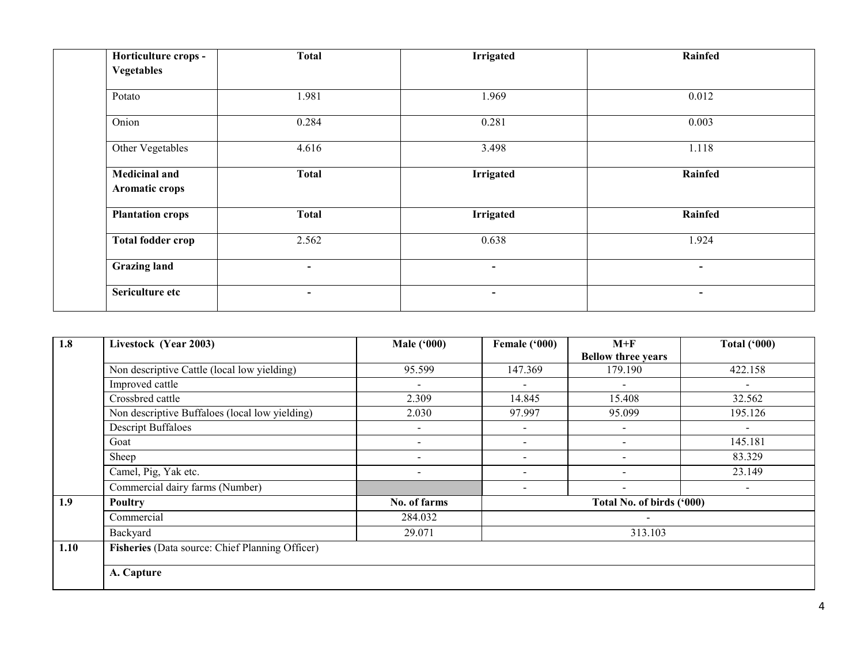| Horticulture crops -<br><b>Vegetables</b> | <b>Total</b>             | <b>Irrigated</b>         | Rainfed        |
|-------------------------------------------|--------------------------|--------------------------|----------------|
| Potato                                    | 1.981                    | 1.969                    | 0.012          |
| Onion                                     | 0.284                    | 0.281                    | 0.003          |
| Other Vegetables                          | 4.616                    | 3.498                    | 1.118          |
| <b>Medicinal and</b><br>Aromatic crops    | <b>Total</b>             | <b>Irrigated</b>         | Rainfed        |
| <b>Plantation crops</b>                   | <b>Total</b>             | <b>Irrigated</b>         | Rainfed        |
| <b>Total fodder crop</b>                  | 2.562                    | 0.638                    | 1.924          |
| <b>Grazing land</b>                       | $\overline{\phantom{a}}$ | $\overline{\phantom{a}}$ | $\blacksquare$ |
| Sericulture etc                           | $\overline{\phantom{0}}$ | $\blacksquare$           | $\sim$         |

| 1.8  | Livestock (Year 2003)                           | <b>Male ('000)</b>       | Female ('000)            | $M+F$                     | Total $(900)$            |
|------|-------------------------------------------------|--------------------------|--------------------------|---------------------------|--------------------------|
|      |                                                 |                          |                          | <b>Bellow three years</b> |                          |
|      | Non descriptive Cattle (local low yielding)     | 95.599                   | 147.369                  | 179.190                   | 422.158                  |
|      | Improved cattle                                 | $\blacksquare$           | $\sim$                   | $\overline{\phantom{a}}$  | $\blacksquare$           |
|      | Crossbred cattle                                | 2.309                    | 14.845                   | 15.408                    | 32.562                   |
|      | Non descriptive Buffaloes (local low yielding)  | 2.030                    | 97.997                   | 95.099                    | 195.126                  |
|      | <b>Descript Buffaloes</b>                       | $\overline{\phantom{0}}$ | $\sim$                   | $\sim$                    | $\sim$                   |
|      | Goat                                            | -                        | $\overline{\phantom{a}}$ |                           | 145.181                  |
|      | Sheep                                           |                          | $\overline{\phantom{a}}$ |                           | 83.329                   |
|      | Camel, Pig, Yak etc.                            | $\overline{\phantom{a}}$ |                          |                           | 23.149                   |
|      | Commercial dairy farms (Number)                 |                          | $\overline{\phantom{a}}$ |                           | $\overline{\phantom{a}}$ |
| 1.9  | <b>Poultry</b>                                  | No. of farms             |                          | Total No. of birds ('000) |                          |
|      | Commercial                                      | 284.032                  |                          |                           |                          |
|      | Backyard                                        | 29.071                   |                          | 313.103                   |                          |
| 1.10 | Fisheries (Data source: Chief Planning Officer) |                          |                          |                           |                          |
|      |                                                 |                          |                          |                           |                          |
|      | A. Capture                                      |                          |                          |                           |                          |
|      |                                                 |                          |                          |                           |                          |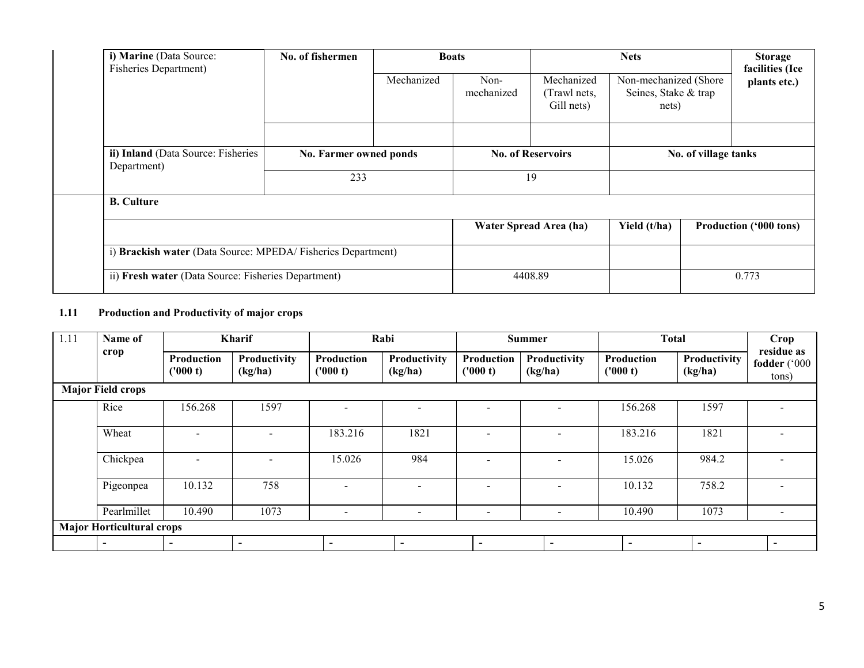| i) Marine (Data Source:<br><b>Fisheries Department)</b>     | No. of fishermen       |            | <b>Boats</b>             |                                          | <b>Nets</b>                                            |  | <b>Storage</b><br>facilities (Ice |
|-------------------------------------------------------------|------------------------|------------|--------------------------|------------------------------------------|--------------------------------------------------------|--|-----------------------------------|
|                                                             |                        | Mechanized | Non-<br>mechanized       | Mechanized<br>(Trawl nets,<br>Gill nets) | Non-mechanized (Shore<br>Seines, Stake & trap<br>nets) |  | plants etc.)                      |
|                                                             |                        |            |                          |                                          |                                                        |  |                                   |
| ii) Inland (Data Source: Fisheries<br>Department)           | No. Farmer owned ponds |            | <b>No. of Reservoirs</b> |                                          | No. of village tanks                                   |  |                                   |
|                                                             | 233                    |            | 19                       |                                          |                                                        |  |                                   |
| <b>B.</b> Culture                                           |                        |            |                          |                                          |                                                        |  |                                   |
|                                                             |                        |            |                          | Water Spread Area (ha)                   | Yield (t/ha)                                           |  | Production ('000 tons)            |
| i) Brackish water (Data Source: MPEDA/Fisheries Department) |                        |            |                          |                                          |                                                        |  |                                   |
| ii) Fresh water (Data Source: Fisheries Department)         |                        |            |                          | 4408.89                                  |                                                        |  | 0.773                             |

## 1.11 Production and Productivity of major crops

| 1.11 | Name of                          |                          | <b>Kharif</b>            |                          | Rabi                     |                          | <b>Summer</b>            | <b>Total</b>             |                          | Crop                                |
|------|----------------------------------|--------------------------|--------------------------|--------------------------|--------------------------|--------------------------|--------------------------|--------------------------|--------------------------|-------------------------------------|
|      | crop                             | Production<br>('000 t)   | Productivity<br>(kg/ha)  | Production<br>('000 t)   | Productivity<br>(kg/ha)  | Production<br>('000 t)   | Productivity<br>(kg/ha)  | Production<br>('000 t)   | Productivity<br>(kg/ha)  | residue as<br>fodder ('000<br>tons) |
|      | <b>Major Field crops</b>         |                          |                          |                          |                          |                          |                          |                          |                          |                                     |
|      | Rice                             | 156.268                  | 1597                     |                          |                          | $\overline{a}$           | $\overline{\phantom{0}}$ | 156.268                  | 1597                     |                                     |
|      | Wheat                            | $\overline{\phantom{0}}$ |                          | 183.216                  | 1821                     |                          |                          | 183.216                  | 1821                     |                                     |
|      | Chickpea                         | $\overline{\phantom{a}}$ | $\overline{\phantom{a}}$ | 15.026                   | 984                      | $\overline{\phantom{0}}$ | $\overline{\phantom{0}}$ | 15.026                   | 984.2                    |                                     |
|      | Pigeonpea                        | 10.132                   | 758                      |                          | $\overline{\phantom{0}}$ | $\overline{\phantom{a}}$ | $\overline{\phantom{0}}$ | 10.132                   | 758.2                    |                                     |
|      | Pearlmillet                      | 10.490                   | 1073                     | $\overline{\phantom{a}}$ | $\blacksquare$           | $\overline{\phantom{a}}$ | $\overline{\phantom{a}}$ | 10.490                   | 1073                     |                                     |
|      | <b>Major Horticultural crops</b> |                          |                          |                          |                          |                          |                          |                          |                          |                                     |
|      | $\overline{\phantom{0}}$         | $\sim$                   | $\blacksquare$           | $\overline{\phantom{0}}$ | $\overline{\phantom{0}}$ |                          | $\overline{\phantom{0}}$ | $\overline{\phantom{0}}$ | $\overline{\phantom{0}}$ | $\overline{\phantom{0}}$            |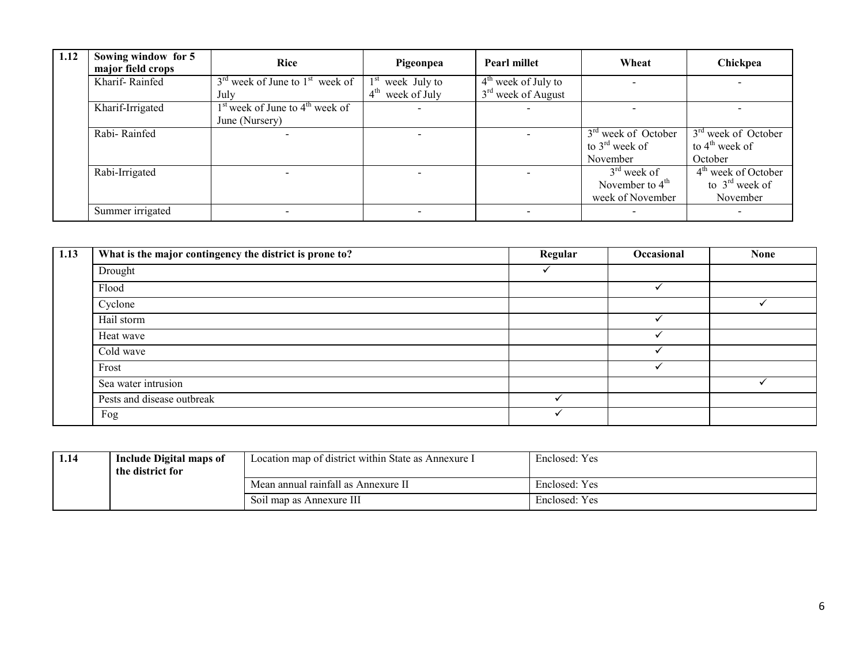| 1.12 | Sowing window for 5<br>major field crops | <b>Rice</b>                         | Pigeonpea                       | <b>Pearl millet</b>   | Wheat                           | Chickpea                        |
|------|------------------------------------------|-------------------------------------|---------------------------------|-----------------------|---------------------------------|---------------------------------|
|      | Kharif-Rainfed                           | $3rd$ week of June to $1st$ week of | week July to                    | $4th$ week of July to |                                 |                                 |
|      |                                          | July                                | $4^{\text{th}}$<br>week of July | $3rd$ week of August  |                                 |                                 |
|      | Kharif-Irrigated                         | $1st$ week of June to $4th$ week of |                                 |                       |                                 |                                 |
|      |                                          | June (Nursery)                      |                                 |                       |                                 |                                 |
|      | Rabi-Rainfed                             |                                     |                                 |                       | 3 <sup>rd</sup> week of October | 3 <sup>rd</sup> week of October |
|      |                                          |                                     |                                 |                       | to $3^{\text{rd}}$ week of      | to $4^{\text{th}}$ week of      |
|      |                                          |                                     |                                 |                       | November                        | October                         |
|      | Rabi-Irrigated                           |                                     |                                 |                       | $3rd$ week of                   | $4th$ week of October           |
|      |                                          |                                     |                                 |                       | November to $4th$               | to $3rd$ week of                |
|      |                                          |                                     |                                 |                       | week of November                | November                        |
|      | Summer irrigated                         |                                     |                                 |                       |                                 |                                 |

| 1.13 | What is the major contingency the district is prone to? | Regular | Occasional | <b>None</b> |
|------|---------------------------------------------------------|---------|------------|-------------|
|      | Drought                                                 |         |            |             |
|      | Flood                                                   |         |            |             |
|      | Cyclone                                                 |         |            |             |
|      | Hail storm                                              |         |            |             |
|      | Heat wave                                               |         |            |             |
|      | Cold wave                                               |         |            |             |
|      | Frost                                                   |         |            |             |
|      | Sea water intrusion                                     |         |            |             |
|      | Pests and disease outbreak                              |         |            |             |
|      | Fog                                                     |         |            |             |

| 1.14 | <b>Include Digital maps of</b><br>the district for | Location map of district within State as Annexure I | Enclosed: Yes |
|------|----------------------------------------------------|-----------------------------------------------------|---------------|
|      |                                                    | Mean annual rainfall as Annexure II                 | Enclosed: Yes |
|      |                                                    | Soil map as Annexure III                            | Enclosed: Yes |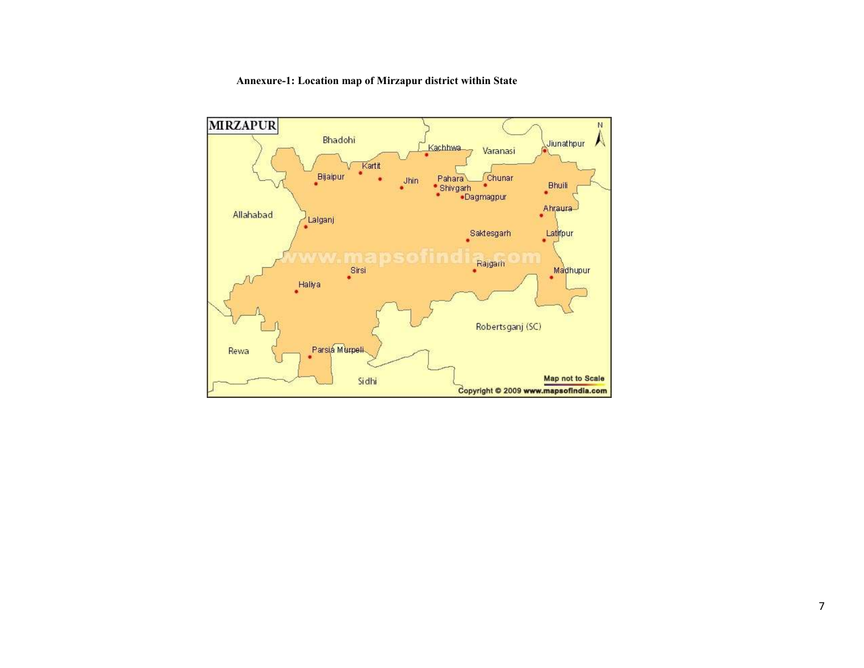#### Annexure-1: Location map of Mirzapur district within State

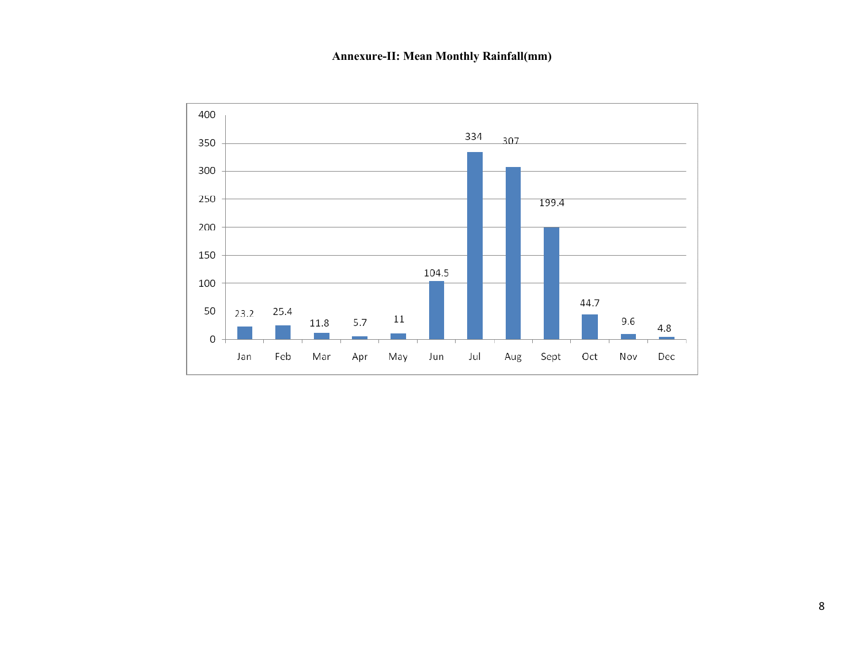# Annexure-II: Mean Monthly Rainfall(mm)

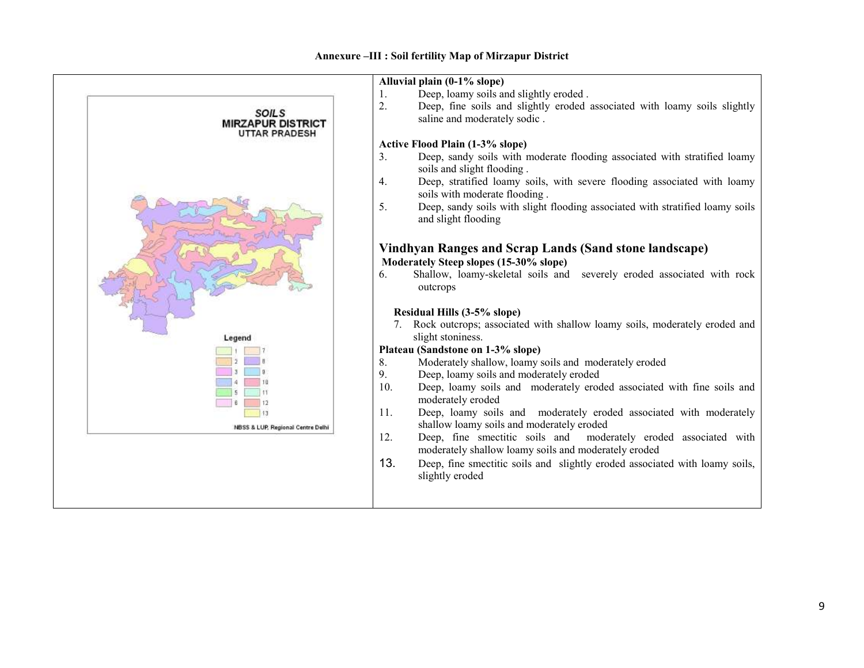#### Annexure –III : Soil fertility Map of Mirzapur District

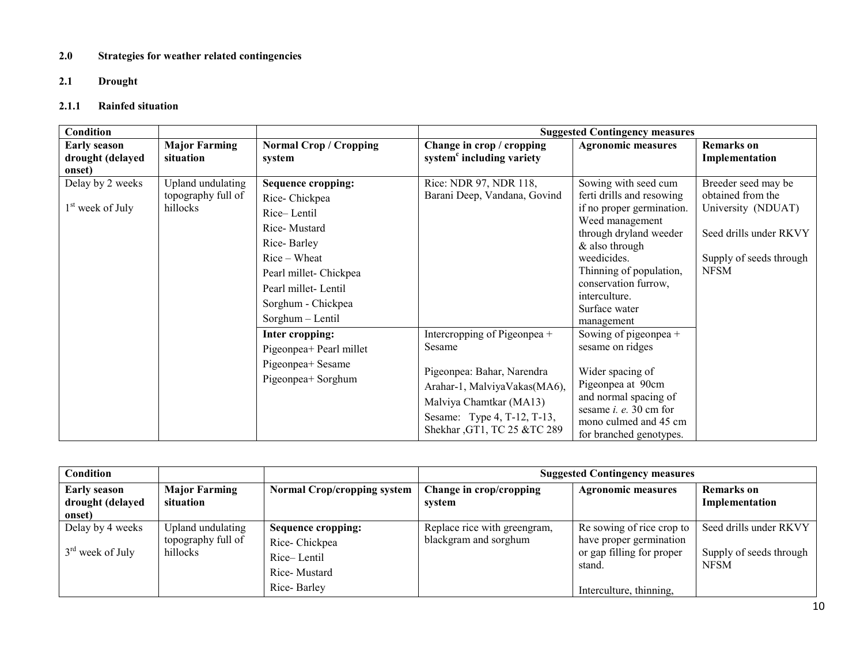#### 2.0 Strategies for weather related contingencies

## 2.1 Drought

# 2.1.1 Rainfed situation

| Condition                                         |                                                     |                                                                                                                                                                                                                                                                                              |                                                                                                                                | <b>Suggested Contingency measures</b>                                                                                                                                                                                                                                                                                                                   |                                                                                                                                    |
|---------------------------------------------------|-----------------------------------------------------|----------------------------------------------------------------------------------------------------------------------------------------------------------------------------------------------------------------------------------------------------------------------------------------------|--------------------------------------------------------------------------------------------------------------------------------|---------------------------------------------------------------------------------------------------------------------------------------------------------------------------------------------------------------------------------------------------------------------------------------------------------------------------------------------------------|------------------------------------------------------------------------------------------------------------------------------------|
| <b>Early season</b><br>drought (delayed<br>onset) | <b>Major Farming</b><br>situation                   | <b>Normal Crop / Cropping</b><br>system                                                                                                                                                                                                                                                      | Change in crop / cropping<br>system <sup>c</sup> including variety                                                             | <b>Agronomic measures</b>                                                                                                                                                                                                                                                                                                                               | <b>Remarks</b> on<br>Implementation                                                                                                |
| Delay by 2 weeks<br>1 <sup>st</sup> week of July  | Upland undulating<br>topography full of<br>hillocks | <b>Sequence cropping:</b><br>Rice-Chickpea<br>Rice-Lentil<br>Rice-Mustard<br>Rice-Barley<br>$Rice-Wheat$<br>Pearl millet- Chickpea<br>Pearl millet-Lentil<br>Sorghum - Chickpea<br>Sorghum - Lentil<br>Inter cropping:<br>Pigeonpea+ Pearl millet<br>Pigeonpea+ Sesame<br>Pigeonpea+ Sorghum | Rice: NDR 97, NDR 118,<br>Barani Deep, Vandana, Govind<br>Intercropping of Pigeonpea +<br>Sesame<br>Pigeonpea: Bahar, Narendra | Sowing with seed cum<br>ferti drills and resowing<br>if no proper germination.<br>Weed management<br>through dryland weeder<br>& also through<br>weedicides.<br>Thinning of population,<br>conservation furrow,<br>interculture.<br>Surface water<br>management<br>Sowing of pigeonpea $+$<br>sesame on ridges<br>Wider spacing of<br>Pigeonpea at 90cm | Breeder seed may be<br>obtained from the<br>University (NDUAT)<br>Seed drills under RKVY<br>Supply of seeds through<br><b>NFSM</b> |
|                                                   |                                                     |                                                                                                                                                                                                                                                                                              | Arahar-1, MalviyaVakas(MA6),<br>Malviya Chamtkar (MA13)<br>Sesame: Type 4, T-12, T-13,<br>Shekhar, GT1, TC 25 &TC 289          | and normal spacing of<br>sesame $i.$ e. 30 cm for<br>mono culmed and 45 cm<br>for branched genotypes.                                                                                                                                                                                                                                                   |                                                                                                                                    |

| <b>Condition</b>                                  |                                                     |                                                                    | <b>Suggested Contingency measures</b>                 |                                                                                             |                                                                  |  |
|---------------------------------------------------|-----------------------------------------------------|--------------------------------------------------------------------|-------------------------------------------------------|---------------------------------------------------------------------------------------------|------------------------------------------------------------------|--|
| <b>Early season</b><br>drought (delayed<br>onset) | <b>Major Farming</b><br>situation                   | <b>Normal Crop/cropping system</b>                                 | Change in crop/cropping<br>system                     | <b>Agronomic measures</b>                                                                   | <b>Remarks</b> on<br>Implementation                              |  |
| Delay by 4 weeks<br>$3rd$ week of July            | Upland undulating<br>topography full of<br>hillocks | Sequence cropping:<br>Rice-Chickpea<br>Rice-Lentil<br>Rice-Mustard | Replace rice with greengram,<br>blackgram and sorghum | Re sowing of rice crop to<br>have proper germination<br>or gap filling for proper<br>stand. | Seed drills under RKVY<br>Supply of seeds through<br><b>NFSM</b> |  |
|                                                   |                                                     | Rice-Barley                                                        |                                                       | Interculture, thinning,                                                                     |                                                                  |  |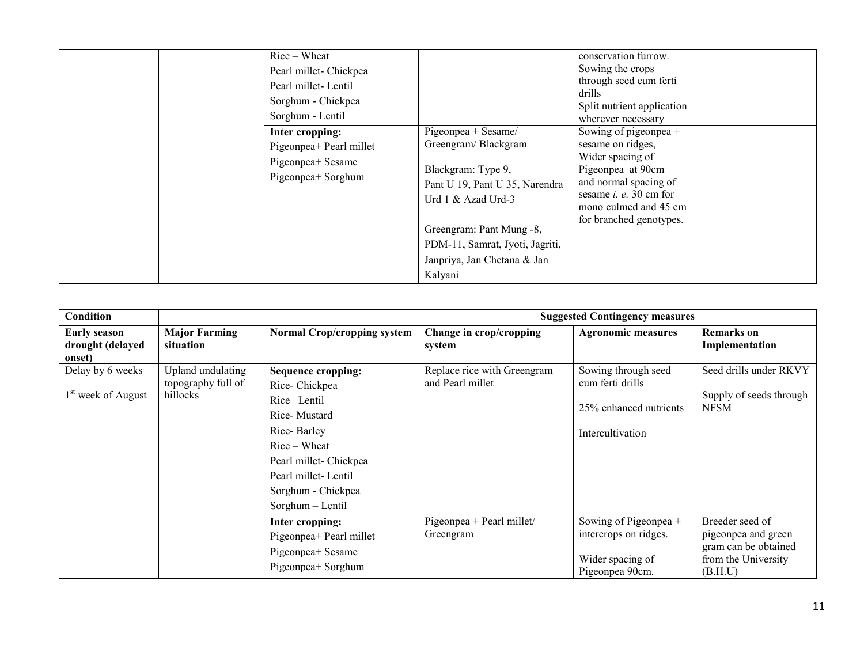| $Rice-Wheat$<br>Pearl millet- Chickpea<br>Pearl millet-Lentil<br>Sorghum - Chickpea<br>Sorghum - Lentil |                                                                                                                                                                                                                                   | conservation furrow.<br>Sowing the crops<br>through seed cum ferti<br>drills<br>Split nutrient application<br>wherever necessary                                                                  |
|---------------------------------------------------------------------------------------------------------|-----------------------------------------------------------------------------------------------------------------------------------------------------------------------------------------------------------------------------------|---------------------------------------------------------------------------------------------------------------------------------------------------------------------------------------------------|
| Inter cropping:<br>Pigeonpea+ Pearl millet<br>Pigeonpea+ Sesame<br>Pigeonpea+ Sorghum                   | Pigeonpea + Sesame/<br>Greengram/Blackgram<br>Blackgram: Type 9,<br>Pant U 19, Pant U 35, Narendra<br>Urd 1 & Azad Urd-3<br>Greengram: Pant Mung -8,<br>PDM-11, Samrat, Jyoti, Jagriti,<br>Janpriya, Jan Chetana & Jan<br>Kalyani | Sowing of pigeonpea +<br>sesame on ridges,<br>Wider spacing of<br>Pigeonpea at 90cm<br>and normal spacing of<br>sesame <i>i. e.</i> 30 cm for<br>mono culmed and 45 cm<br>for branched genotypes. |

| Condition                                          |                                                     |                                                                                                                                                                                              |                                                 | <b>Suggested Contingency measures</b>                                                 |                                                                                                  |
|----------------------------------------------------|-----------------------------------------------------|----------------------------------------------------------------------------------------------------------------------------------------------------------------------------------------------|-------------------------------------------------|---------------------------------------------------------------------------------------|--------------------------------------------------------------------------------------------------|
| <b>Early season</b><br>drought (delayed<br>onset)  | <b>Major Farming</b><br>situation                   | <b>Normal Crop/cropping system</b>                                                                                                                                                           | Change in crop/cropping<br>system               | <b>Agronomic measures</b>                                                             | <b>Remarks</b> on<br>Implementation                                                              |
| Delay by 6 weeks<br>1 <sup>st</sup> week of August | Upland undulating<br>topography full of<br>hillocks | Sequence cropping:<br>Rice-Chickpea<br>Rice-Lentil<br>Rice-Mustard<br>Rice-Barley<br>$Rice-Wheat$<br>Pearl millet- Chickpea<br>Pearl millet-Lentil<br>Sorghum - Chickpea<br>Sorghum - Lentil | Replace rice with Greengram<br>and Pearl millet | Sowing through seed<br>cum ferti drills<br>25% enhanced nutrients<br>Intercultivation | Seed drills under RKVY<br>Supply of seeds through<br><b>NFSM</b>                                 |
|                                                    |                                                     | Inter cropping:<br>Pigeonpea+ Pearl millet<br>Pigeonpea+ Sesame<br>Pigeonpea+ Sorghum                                                                                                        | Pigeonpea + Pearl millet/<br>Greengram          | Sowing of Pigeonpea +<br>intercrops on ridges.<br>Wider spacing of<br>Pigeonpea 90cm. | Breeder seed of<br>pigeonpea and green<br>gram can be obtained<br>from the University<br>(B.H.U) |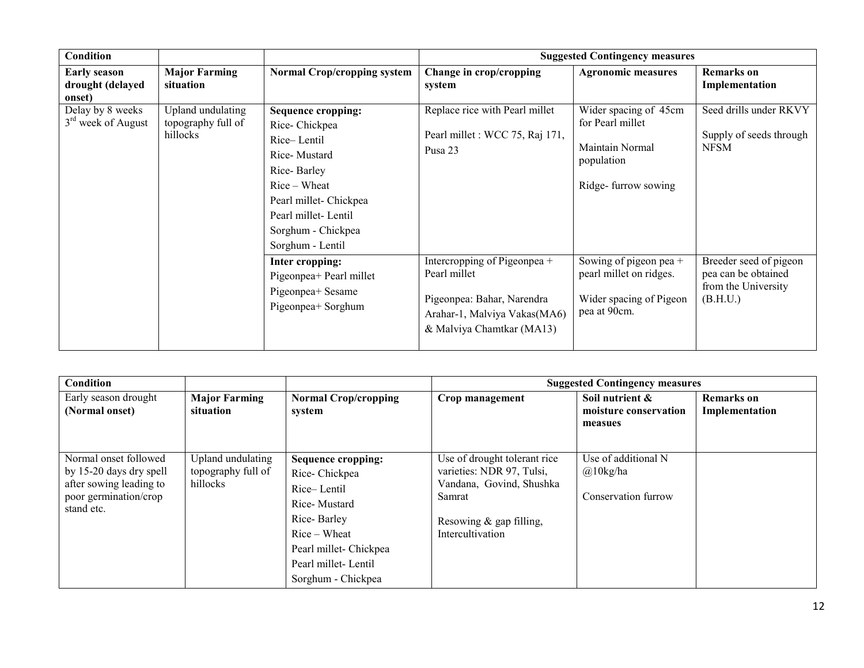| <b>Condition</b>                                   |                                                     |                                                                                                                                                                                              |                                                                                                                                         | <b>Suggested Contingency measures</b>                                                             |                                                                                  |
|----------------------------------------------------|-----------------------------------------------------|----------------------------------------------------------------------------------------------------------------------------------------------------------------------------------------------|-----------------------------------------------------------------------------------------------------------------------------------------|---------------------------------------------------------------------------------------------------|----------------------------------------------------------------------------------|
| <b>Early season</b><br>drought (delayed<br>onset)  | <b>Major Farming</b><br>situation                   | <b>Normal Crop/cropping system</b>                                                                                                                                                           | Change in crop/cropping<br>system                                                                                                       | <b>Agronomic measures</b>                                                                         | <b>Remarks</b> on<br>Implementation                                              |
| Delay by 8 weeks<br>3 <sup>rd</sup> week of August | Upland undulating<br>topography full of<br>hillocks | Sequence cropping:<br>Rice-Chickpea<br>Rice-Lentil<br>Rice-Mustard<br>Rice-Barley<br>$Rice-Wheat$<br>Pearl millet- Chickpea<br>Pearl millet-Lentil<br>Sorghum - Chickpea<br>Sorghum - Lentil | Replace rice with Pearl millet<br>Pearl millet : WCC 75, Raj 171,<br>Pusa 23                                                            | Wider spacing of 45cm<br>for Pearl millet<br>Maintain Normal<br>population<br>Ridge-furrow sowing | Seed drills under RKVY<br>Supply of seeds through<br><b>NFSM</b>                 |
|                                                    |                                                     | Inter cropping:<br>Pigeonpea+ Pearl millet<br>Pigeonpea+ Sesame<br>Pigeonpea+ Sorghum                                                                                                        | Intercropping of Pigeonpea +<br>Pearl millet<br>Pigeonpea: Bahar, Narendra<br>Arahar-1, Malviya Vakas(MA6)<br>& Malviya Chamtkar (MA13) | Sowing of pigeon pea +<br>pearl millet on ridges.<br>Wider spacing of Pigeon<br>pea at 90cm.      | Breeder seed of pigeon<br>pea can be obtained<br>from the University<br>(B.H.U.) |

| Condition                                                                                                          |                                                     |                                                                                                                                                                                 |                                                                                                                                                  | <b>Suggested Contingency measures</b>                          |                                     |
|--------------------------------------------------------------------------------------------------------------------|-----------------------------------------------------|---------------------------------------------------------------------------------------------------------------------------------------------------------------------------------|--------------------------------------------------------------------------------------------------------------------------------------------------|----------------------------------------------------------------|-------------------------------------|
| Early season drought<br>(Normal onset)                                                                             | <b>Major Farming</b><br>situation                   | <b>Normal Crop/cropping</b><br>system                                                                                                                                           | Crop management                                                                                                                                  | Soil nutrient &<br>moisture conservation<br>measues            | <b>Remarks</b> on<br>Implementation |
| Normal onset followed<br>by 15-20 days dry spell<br>after sowing leading to<br>poor germination/crop<br>stand etc. | Upland undulating<br>topography full of<br>hillocks | <b>Sequence cropping:</b><br>Rice-Chickpea<br>Rice-Lentil<br>Rice-Mustard<br>Rice-Barley<br>$Rice-Wheat$<br>Pearl millet- Chickpea<br>Pearl millet-Lentil<br>Sorghum - Chickpea | Use of drought tolerant rice<br>varieties: NDR 97, Tulsi,<br>Vandana, Govind, Shushka<br>Samrat<br>Resowing $&$ gap filling,<br>Intercultivation | Use of additional N<br>$\omega$ 10kg/ha<br>Conservation furrow |                                     |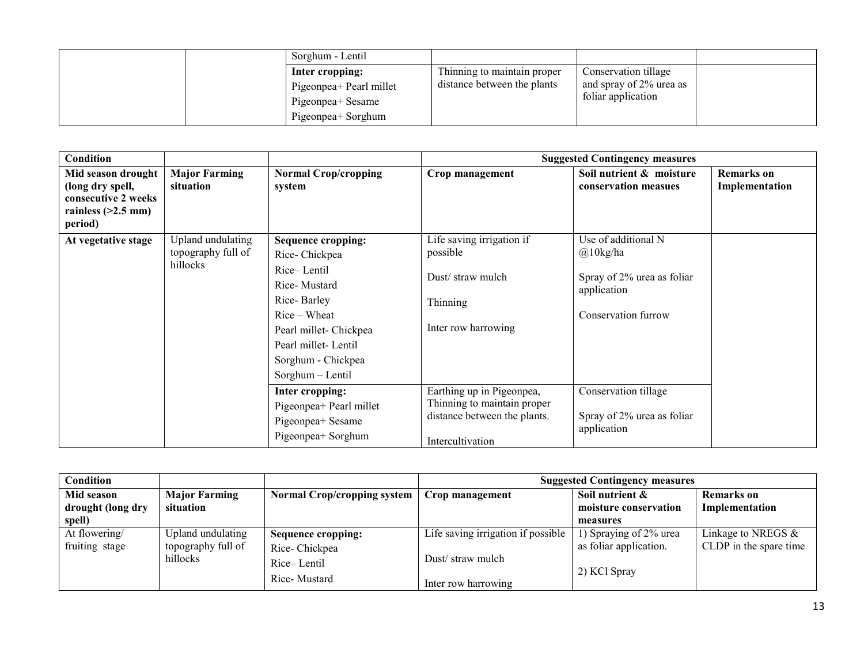| Sorghum - Lentil                                                                      |                                                            |                                                                       |  |
|---------------------------------------------------------------------------------------|------------------------------------------------------------|-----------------------------------------------------------------------|--|
| Inter cropping:<br>Pigeonpea+ Pearl millet<br>Pigeonpea+ Sesame<br>Pigeonpea+ Sorghum | Thinning to maintain proper<br>distance between the plants | Conservation tillage<br>and spray of 2% urea as<br>foliar application |  |

| Condition                                                                                        |                                                     |                                                                                                                                                                                                     |                                                                                                              | <b>Suggested Contingency measures</b>                                                                  |                                     |
|--------------------------------------------------------------------------------------------------|-----------------------------------------------------|-----------------------------------------------------------------------------------------------------------------------------------------------------------------------------------------------------|--------------------------------------------------------------------------------------------------------------|--------------------------------------------------------------------------------------------------------|-------------------------------------|
| Mid season drought<br>(long dry spell,<br>consecutive 2 weeks<br>rainless $(>2.5$ mm)<br>period) | <b>Major Farming</b><br>situation                   | <b>Normal Crop/cropping</b><br>system                                                                                                                                                               | Crop management                                                                                              | Soil nutrient & moisture<br>conservation measues                                                       | <b>Remarks</b> on<br>Implementation |
| At vegetative stage                                                                              | Upland undulating<br>topography full of<br>hillocks | <b>Sequence cropping:</b><br>Rice-Chickpea<br>Rice-Lentil<br>Rice-Mustard<br>Rice-Barley<br>$Rice-Wheat$<br>Pearl millet- Chickpea<br>Pearl millet-Lentil<br>Sorghum - Chickpea<br>Sorghum - Lentil | Life saving irrigation if<br>possible<br>Dust/straw mulch<br>Thinning<br>Inter row harrowing                 | Use of additional N<br>$@10$ kg/ha<br>Spray of 2% urea as foliar<br>application<br>Conservation furrow |                                     |
|                                                                                                  |                                                     | Inter cropping:<br>Pigeonpea+ Pearl millet<br>Pigeonpea+ Sesame<br>Pigeonpea+ Sorghum                                                                                                               | Earthing up in Pigeonpea,<br>Thinning to maintain proper<br>distance between the plants.<br>Intercultivation | Conservation tillage<br>Spray of 2% urea as foliar<br>application                                      |                                     |

| Condition         |                      |                                    | <b>Suggested Contingency measures</b> |                        |                        |
|-------------------|----------------------|------------------------------------|---------------------------------------|------------------------|------------------------|
| Mid season        | <b>Major Farming</b> | <b>Normal Crop/cropping system</b> | Crop management                       | Soil nutrient &        | <b>Remarks</b> on      |
| drought (long dry | situation            |                                    |                                       | moisture conservation  | Implementation         |
| spell)            |                      |                                    |                                       | measures               |                        |
| At flowering/     | Upland undulating    | Sequence cropping:                 | Life saving irrigation if possible    | 1) Spraying of 2% urea | Linkage to NREGS $\&$  |
| fruiting stage    | topography full of   | Rice-Chickpea                      |                                       | as foliar application. | CLDP in the spare time |
|                   | hillocks             | Rice-Lentil                        | Dust/straw mulch                      |                        |                        |
|                   | Rice-Mustard         | Inter row harrowing                | 2) KCl Spray                          |                        |                        |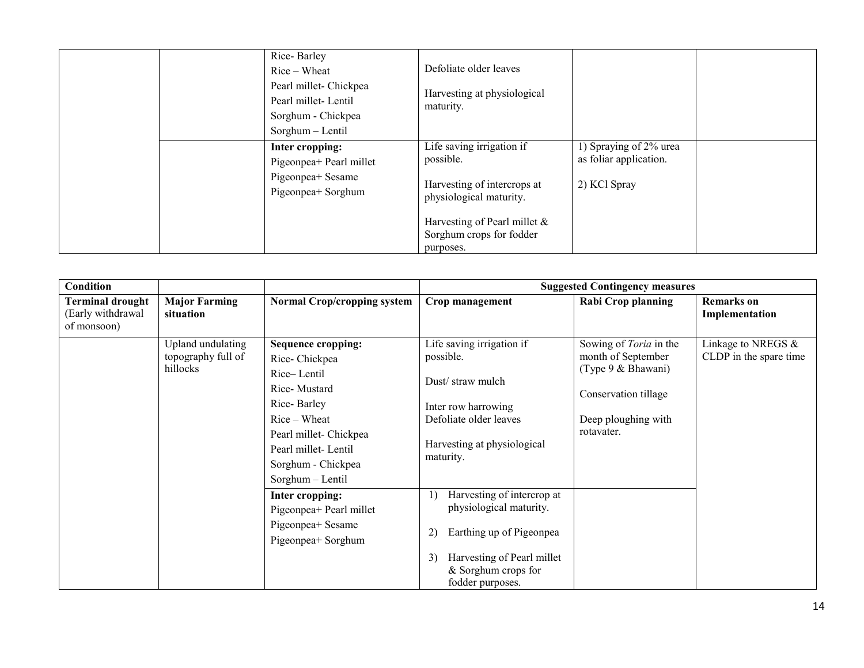| Rice-Barley<br>$Rice-Wheat$<br>Pearl millet- Chickpea<br>Pearl millet-Lentil<br>Sorghum - Chickpea<br>Sorghum - Lentil | Defoliate older leaves<br>Harvesting at physiological<br>maturity.                                                                                                           |                                                                  |  |
|------------------------------------------------------------------------------------------------------------------------|------------------------------------------------------------------------------------------------------------------------------------------------------------------------------|------------------------------------------------------------------|--|
| Inter cropping:<br>Pigeonpea+ Pearl millet<br>Pigeonpea+ Sesame<br>Pigeonpea+ Sorghum                                  | Life saving irrigation if<br>possible.<br>Harvesting of intercrops at<br>physiological maturity.<br>Harvesting of Pearl millet $\&$<br>Sorghum crops for fodder<br>purposes. | 1) Spraying of 2% urea<br>as foliar application.<br>2) KCl Spray |  |

| Condition                                                   |                                                     |                                                                                                                                                                                                     | <b>Suggested Contingency measures</b>                                                                                                                                  |                                                                                                                                        |                                              |  |
|-------------------------------------------------------------|-----------------------------------------------------|-----------------------------------------------------------------------------------------------------------------------------------------------------------------------------------------------------|------------------------------------------------------------------------------------------------------------------------------------------------------------------------|----------------------------------------------------------------------------------------------------------------------------------------|----------------------------------------------|--|
| <b>Terminal drought</b><br>(Early withdrawal<br>of monsoon) | <b>Major Farming</b><br>situation                   | <b>Normal Crop/cropping system</b>                                                                                                                                                                  | Crop management                                                                                                                                                        | <b>Rabi Crop planning</b>                                                                                                              | <b>Remarks</b> on<br>Implementation          |  |
|                                                             | Upland undulating<br>topography full of<br>hillocks | <b>Sequence cropping:</b><br>Rice-Chickpea<br>Rice-Lentil<br>Rice-Mustard<br>Rice-Barley<br>$Rice-Wheat$<br>Pearl millet- Chickpea<br>Pearl millet-Lentil<br>Sorghum - Chickpea<br>Sorghum - Lentil | Life saving irrigation if<br>possible.<br>Dust/straw mulch<br>Inter row harrowing<br>Defoliate older leaves<br>Harvesting at physiological<br>maturity.                | Sowing of <i>Toria</i> in the<br>month of September<br>(Type 9 & Bhawani)<br>Conservation tillage<br>Deep ploughing with<br>rotavater. | Linkage to NREGS &<br>CLDP in the spare time |  |
|                                                             |                                                     | Inter cropping:<br>Pigeonpea+ Pearl millet<br>Pigeonpea+ Sesame<br>Pigeonpea+ Sorghum                                                                                                               | Harvesting of intercrop at<br>physiological maturity.<br>Earthing up of Pigeonpea<br>2)<br>Harvesting of Pearl millet<br>3)<br>& Sorghum crops for<br>fodder purposes. |                                                                                                                                        |                                              |  |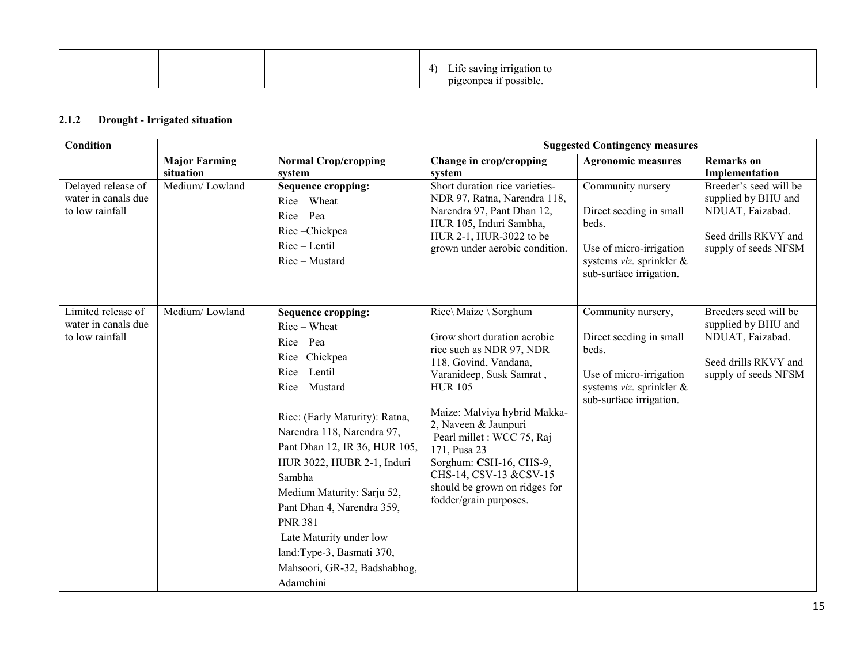|  | $\sim$ $rr$ regation to<br>$\mathbf{r}$<br>↵<br>,,,,,<br>.<br>$^{\prime\prime}$<br>. .<br>$^{\circ}$ possible<br>بممر<br>71 S<br>استاذانا |  |
|--|-------------------------------------------------------------------------------------------------------------------------------------------|--|

### 2.1.2 Drought - Irrigated situation

| <b>Condition</b>                                             |                                   |                                                                                                                                                                                                                                                                                                                                                                                                                                         |                                                                                                                                                                                                                                                                                                                                                                               | <b>Suggested Contingency measures</b>                                                                                                    |                                                                                                                   |
|--------------------------------------------------------------|-----------------------------------|-----------------------------------------------------------------------------------------------------------------------------------------------------------------------------------------------------------------------------------------------------------------------------------------------------------------------------------------------------------------------------------------------------------------------------------------|-------------------------------------------------------------------------------------------------------------------------------------------------------------------------------------------------------------------------------------------------------------------------------------------------------------------------------------------------------------------------------|------------------------------------------------------------------------------------------------------------------------------------------|-------------------------------------------------------------------------------------------------------------------|
|                                                              | <b>Major Farming</b><br>situation | <b>Normal Crop/cropping</b><br>system                                                                                                                                                                                                                                                                                                                                                                                                   | Change in crop/cropping<br>system                                                                                                                                                                                                                                                                                                                                             | <b>Agronomic measures</b>                                                                                                                | <b>Remarks</b> on<br>Implementation                                                                               |
| Delayed release of<br>water in canals due<br>to low rainfall | Medium/Lowland                    | <b>Sequence cropping:</b><br>Rice - Wheat<br>$Rice-Pea$<br>Rice-Chickpea<br>Rice - Lentil<br>Rice - Mustard                                                                                                                                                                                                                                                                                                                             | Short duration rice varieties-<br>NDR 97, Ratna, Narendra 118,<br>Narendra 97, Pant Dhan 12,<br>HUR 105, Induri Sambha,<br>HUR 2-1, HUR-3022 to be<br>grown under aerobic condition.                                                                                                                                                                                          | Community nursery<br>Direct seeding in small<br>beds.<br>Use of micro-irrigation<br>systems viz. sprinkler &<br>sub-surface irrigation.  | Breeder's seed will be<br>supplied by BHU and<br>NDUAT, Faizabad.<br>Seed drills RKVY and<br>supply of seeds NFSM |
| Limited release of<br>water in canals due<br>to low rainfall | Medium/Lowland                    | <b>Sequence cropping:</b><br>Rice - Wheat<br>Rice - Pea<br>Rice-Chickpea<br>Rice - Lentil<br>Rice – Mustard<br>Rice: (Early Maturity): Ratna,<br>Narendra 118, Narendra 97,<br>Pant Dhan 12, IR 36, HUR 105,<br>HUR 3022, HUBR 2-1, Induri<br>Sambha<br>Medium Maturity: Sarju 52,<br>Pant Dhan 4, Narendra 359,<br><b>PNR 381</b><br>Late Maturity under low<br>land:Type-3, Basmati 370,<br>Mahsoori, GR-32, Badshabhog,<br>Adamchini | Rice\ Maize \ Sorghum<br>Grow short duration aerobic<br>rice such as NDR 97, NDR<br>118, Govind, Vandana,<br>Varanideep, Susk Samrat,<br><b>HUR 105</b><br>Maize: Malviya hybrid Makka-<br>2, Naveen & Jaunpuri<br>Pearl millet : WCC 75, Raj<br>171, Pusa 23<br>Sorghum: CSH-16, CHS-9,<br>CHS-14, CSV-13 &CSV-15<br>should be grown on ridges for<br>fodder/grain purposes. | Community nursery,<br>Direct seeding in small<br>beds.<br>Use of micro-irrigation<br>systems viz. sprinkler &<br>sub-surface irrigation. | Breeders seed will be<br>supplied by BHU and<br>NDUAT, Faizabad.<br>Seed drills RKVY and<br>supply of seeds NFSM  |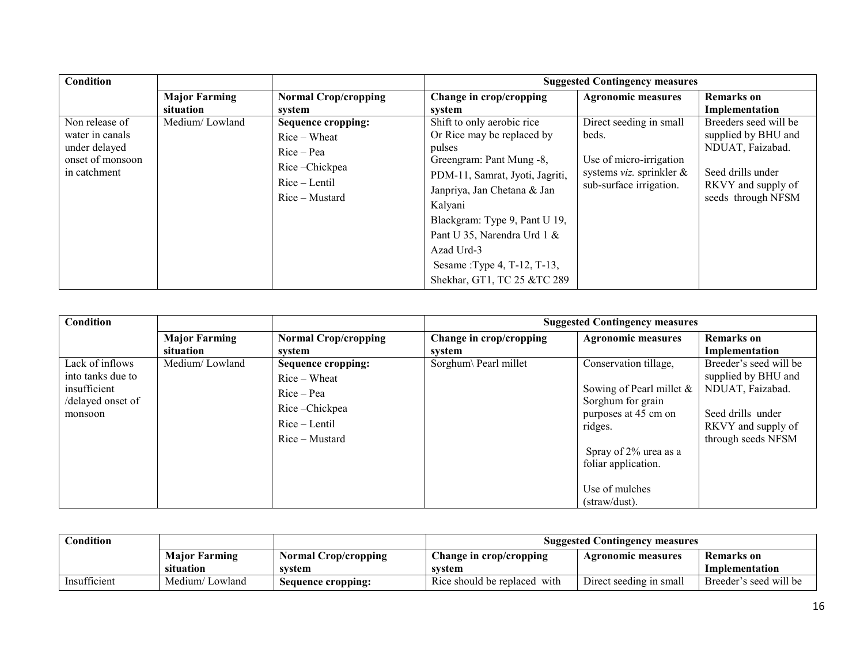| Condition                                                                              |                                   |                                                                                                                 | <b>Suggested Contingency measures</b>                                                                                                                                                                                                                                                                                    |                                                                                                                    |                                                                                                                                   |  |
|----------------------------------------------------------------------------------------|-----------------------------------|-----------------------------------------------------------------------------------------------------------------|--------------------------------------------------------------------------------------------------------------------------------------------------------------------------------------------------------------------------------------------------------------------------------------------------------------------------|--------------------------------------------------------------------------------------------------------------------|-----------------------------------------------------------------------------------------------------------------------------------|--|
|                                                                                        | <b>Major Farming</b><br>situation | <b>Normal Crop/cropping</b><br>system                                                                           | Change in crop/cropping<br>system                                                                                                                                                                                                                                                                                        | <b>Agronomic measures</b>                                                                                          | <b>Remarks</b> on<br>Implementation                                                                                               |  |
| Non release of<br>water in canals<br>under delayed<br>onset of monsoon<br>in catchment | Medium/Lowland                    | <b>Sequence cropping:</b><br>$Rice-Wheat$<br>$Rice-Pea$<br>Rice-Chickpea<br>$Rice - Lentil$<br>$Rice$ – Mustard | Shift to only aerobic rice<br>Or Rice may be replaced by<br>pulses<br>Greengram: Pant Mung -8,<br>PDM-11, Samrat, Jyoti, Jagriti,<br>Janpriya, Jan Chetana & Jan<br>Kalyani<br>Blackgram: Type 9, Pant U 19,<br>Pant U 35, Narendra Urd 1 &<br>Azad Urd-3<br>Sesame : Type 4, T-12, T-13,<br>Shekhar, GT1, TC 25 &TC 289 | Direct seeding in small<br>beds.<br>Use of micro-irrigation<br>systems viz. sprinkler &<br>sub-surface irrigation. | Breeders seed will be<br>supplied by BHU and<br>NDUAT, Faizabad.<br>Seed drills under<br>RKVY and supply of<br>seeds through NFSM |  |

| Condition                                                                            |                                   |                                                                                                               | <b>Suggested Contingency measures</b> |                                                                                                                                                                                                 |                                                                                                                                    |  |
|--------------------------------------------------------------------------------------|-----------------------------------|---------------------------------------------------------------------------------------------------------------|---------------------------------------|-------------------------------------------------------------------------------------------------------------------------------------------------------------------------------------------------|------------------------------------------------------------------------------------------------------------------------------------|--|
|                                                                                      | <b>Major Farming</b><br>situation | <b>Normal Crop/cropping</b><br>system                                                                         | Change in crop/cropping<br>system     | <b>Agronomic measures</b>                                                                                                                                                                       | <b>Remarks</b> on<br>Implementation                                                                                                |  |
| Lack of inflows<br>into tanks due to<br>insufficient<br>/delayed onset of<br>monsoon | Medium/Lowland                    | <b>Sequence cropping:</b><br>$Rice-Wheat$<br>$Rice-Pea$<br>Rice-Chickpea<br>$Rice - Lentil$<br>Rice – Mustard | Sorghum\ Pearl millet                 | Conservation tillage,<br>Sowing of Pearl millet $\&$<br>Sorghum for grain<br>purposes at 45 cm on<br>ridges.<br>Spray of 2% urea as a<br>foliar application.<br>Use of mulches<br>(straw/dust). | Breeder's seed will be<br>supplied by BHU and<br>NDUAT, Faizabad.<br>Seed drills under<br>RKVY and supply of<br>through seeds NFSM |  |

| Condition    |                      |                      | <b>Suggested Contingency measures</b> |                         |                        |
|--------------|----------------------|----------------------|---------------------------------------|-------------------------|------------------------|
|              | <b>Major Farming</b> | Normal Crop/cropping | <b>Change in crop/cropping</b>        | Agronomic measures      | Remarks on             |
|              | situation            | svstem               | system                                |                         | Implementation         |
| Insufficient | Medium/Lowland       | Sequence cropping:   | Rice should be replaced with          | Direct seeding in small | Breeder's seed will be |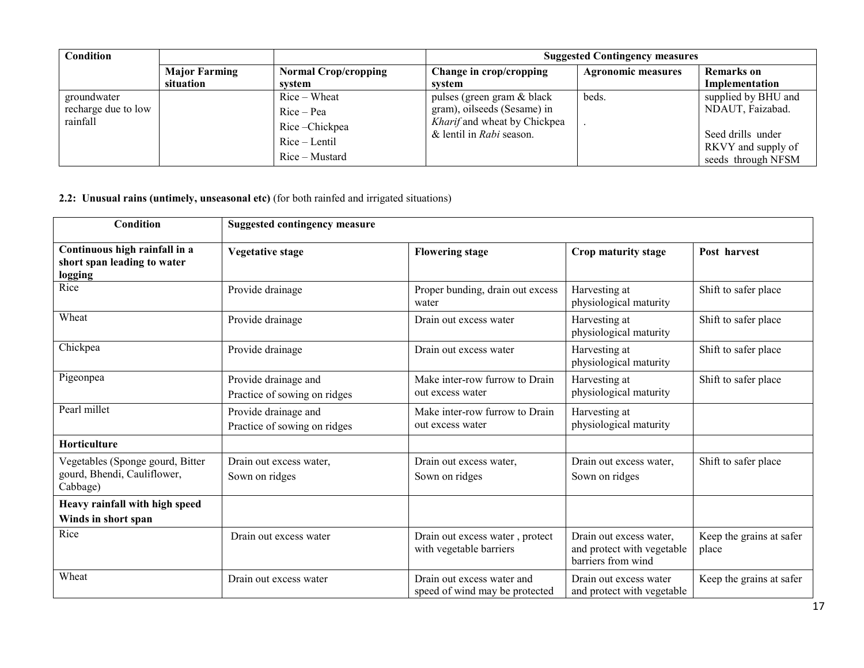| <b>Condition</b>    |                      |                             | <b>Suggested Contingency measures</b> |                           |                     |  |
|---------------------|----------------------|-----------------------------|---------------------------------------|---------------------------|---------------------|--|
|                     | <b>Major Farming</b> | <b>Normal Crop/cropping</b> | Change in crop/cropping               | <b>Agronomic measures</b> | <b>Remarks</b> on   |  |
|                     | situation            | svstem                      | svstem                                |                           | Implementation      |  |
| groundwater         |                      | $Rice-Wheat$                | pulses (green gram & black            | beds.                     | supplied by BHU and |  |
| recharge due to low |                      | $Rice-Pea$                  | gram), oilseeds (Sesame) in           |                           | NDAUT, Faizabad.    |  |
| rainfall            |                      | Rice-Chickpea               | Kharif and wheat by Chickpea          |                           |                     |  |
|                     |                      | $Rice - Lenti$              | & lentil in Rabi season.              |                           | Seed drills under   |  |
|                     |                      |                             |                                       |                           | RKVY and supply of  |  |
|                     |                      | Rice – Mustard              |                                       |                           | seeds through NFSM  |  |

## 2.2: Unusual rains (untimely, unseasonal etc) (for both rainfed and irrigated situations)

| Condition                                                                   | <b>Suggested contingency measure</b>                 |                                                              |                                                                             |                                   |  |
|-----------------------------------------------------------------------------|------------------------------------------------------|--------------------------------------------------------------|-----------------------------------------------------------------------------|-----------------------------------|--|
| Continuous high rainfall in a<br>short span leading to water<br>logging     | <b>Vegetative stage</b>                              | <b>Flowering stage</b>                                       | Crop maturity stage                                                         | Post harvest                      |  |
| Rice                                                                        | Provide drainage                                     | Proper bunding, drain out excess<br>water                    | Harvesting at<br>physiological maturity                                     | Shift to safer place              |  |
| Wheat                                                                       | Provide drainage                                     | Drain out excess water                                       | Harvesting at<br>physiological maturity                                     | Shift to safer place              |  |
| Chickpea                                                                    | Provide drainage                                     | Drain out excess water                                       | Harvesting at<br>physiological maturity                                     | Shift to safer place              |  |
| Pigeonpea                                                                   | Provide drainage and<br>Practice of sowing on ridges | Make inter-row furrow to Drain<br>out excess water           | Harvesting at<br>physiological maturity                                     | Shift to safer place              |  |
| Pearl millet                                                                | Provide drainage and<br>Practice of sowing on ridges | Make inter-row furrow to Drain<br>out excess water           | Harvesting at<br>physiological maturity                                     |                                   |  |
| Horticulture                                                                |                                                      |                                                              |                                                                             |                                   |  |
| Vegetables (Sponge gourd, Bitter<br>gourd, Bhendi, Cauliflower,<br>Cabbage) | Drain out excess water,<br>Sown on ridges            | Drain out excess water,<br>Sown on ridges                    | Drain out excess water,<br>Sown on ridges                                   | Shift to safer place              |  |
| Heavy rainfall with high speed<br>Winds in short span                       |                                                      |                                                              |                                                                             |                                   |  |
| Rice                                                                        | Drain out excess water                               | Drain out excess water, protect<br>with vegetable barriers   | Drain out excess water,<br>and protect with vegetable<br>barriers from wind | Keep the grains at safer<br>place |  |
| Wheat                                                                       | Drain out excess water                               | Drain out excess water and<br>speed of wind may be protected | Drain out excess water<br>and protect with vegetable                        | Keep the grains at safer          |  |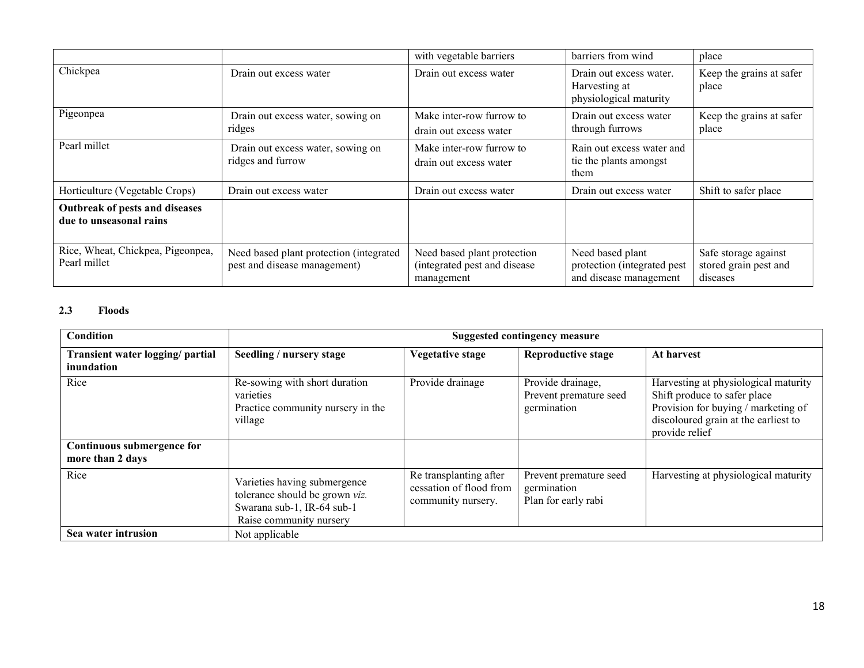|                                                           |                                                                         | with vegetable barriers                                                   | barriers from wind                                                        | place                                                     |
|-----------------------------------------------------------|-------------------------------------------------------------------------|---------------------------------------------------------------------------|---------------------------------------------------------------------------|-----------------------------------------------------------|
| Chickpea                                                  | Drain out excess water                                                  | Drain out excess water                                                    | Drain out excess water.<br>Harvesting at<br>physiological maturity        | Keep the grains at safer<br>place                         |
| Pigeonpea                                                 | Drain out excess water, sowing on<br>ridges                             | Make inter-row furrow to<br>drain out excess water                        | Drain out excess water<br>through furrows                                 | Keep the grains at safer<br>place                         |
| Pearl millet                                              | Drain out excess water, sowing on<br>ridges and furrow                  | Make inter-row furrow to<br>drain out excess water                        | Rain out excess water and<br>tie the plants amongst<br>them               |                                                           |
| Horticulture (Vegetable Crops)                            | Drain out excess water                                                  | Drain out excess water                                                    | Drain out excess water                                                    | Shift to safer place                                      |
| Outbreak of pests and diseases<br>due to unseasonal rains |                                                                         |                                                                           |                                                                           |                                                           |
| Rice, Wheat, Chickpea, Pigeonpea,<br>Pearl millet         | Need based plant protection (integrated<br>pest and disease management) | Need based plant protection<br>(integrated pest and disease<br>management | Need based plant<br>protection (integrated pest<br>and disease management | Safe storage against<br>stored grain pest and<br>diseases |

# 2.3 Floods

| Condition                                      | <b>Suggested contingency measure</b>                                                                                    |                                                                         |                                                              |                                                                                                                                                                       |  |  |
|------------------------------------------------|-------------------------------------------------------------------------------------------------------------------------|-------------------------------------------------------------------------|--------------------------------------------------------------|-----------------------------------------------------------------------------------------------------------------------------------------------------------------------|--|--|
| Transient water logging/ partial<br>inundation | Seedling / nursery stage                                                                                                | <b>Vegetative stage</b>                                                 | <b>Reproductive stage</b>                                    | At harvest                                                                                                                                                            |  |  |
| Rice                                           | Re-sowing with short duration<br>varieties<br>Practice community nursery in the<br>village                              | Provide drainage                                                        | Provide drainage,<br>Prevent premature seed<br>germination   | Harvesting at physiological maturity<br>Shift produce to safer place<br>Provision for buying / marketing of<br>discoloured grain at the earliest to<br>provide relief |  |  |
| Continuous submergence for<br>more than 2 days |                                                                                                                         |                                                                         |                                                              |                                                                                                                                                                       |  |  |
| Rice                                           | Varieties having submergence<br>tolerance should be grown viz.<br>Swarana sub-1, IR-64 sub-1<br>Raise community nursery | Re transplanting after<br>cessation of flood from<br>community nursery. | Prevent premature seed<br>germination<br>Plan for early rabi | Harvesting at physiological maturity                                                                                                                                  |  |  |
| Sea water intrusion                            | Not applicable                                                                                                          |                                                                         |                                                              |                                                                                                                                                                       |  |  |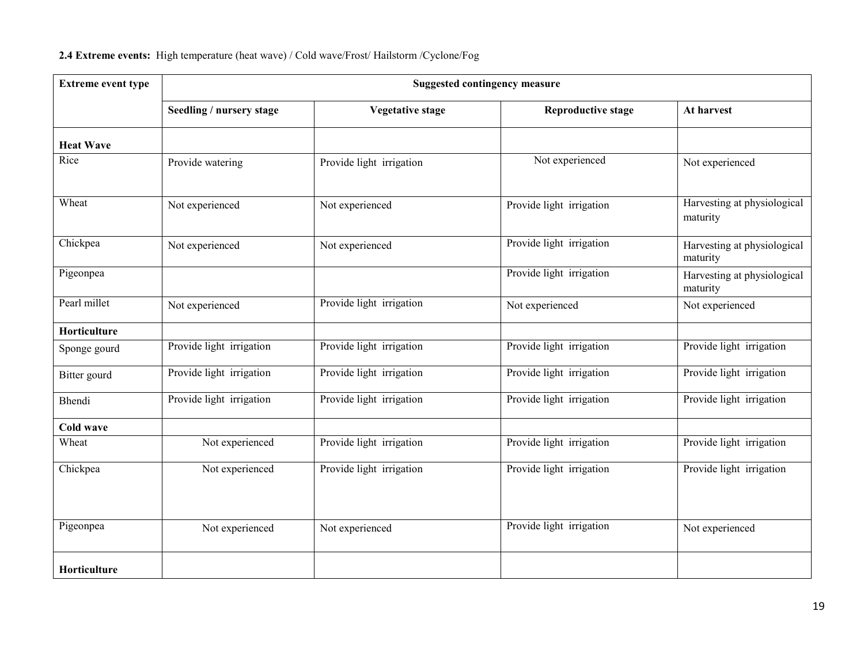## 2.4 Extreme events: High temperature (heat wave) / Cold wave/Frost/ Hailstorm /Cyclone/Fog

| <b>Extreme event type</b> | <b>Suggested contingency measure</b> |                          |                           |                                         |  |
|---------------------------|--------------------------------------|--------------------------|---------------------------|-----------------------------------------|--|
|                           | Seedling / nursery stage             | <b>Vegetative stage</b>  | <b>Reproductive stage</b> | At harvest                              |  |
| <b>Heat Wave</b>          |                                      |                          |                           |                                         |  |
| Rice                      | Provide watering                     | Provide light irrigation | Not experienced           | Not experienced                         |  |
| Wheat                     | Not experienced                      | Not experienced          | Provide light irrigation  | Harvesting at physiological<br>maturity |  |
| Chickpea                  | Not experienced                      | Not experienced          | Provide light irrigation  | Harvesting at physiological<br>maturity |  |
| Pigeonpea                 |                                      |                          | Provide light irrigation  | Harvesting at physiological<br>maturity |  |
| Pearl millet              | Not experienced                      | Provide light irrigation | Not experienced           | Not experienced                         |  |
| Horticulture              |                                      |                          |                           |                                         |  |
| Sponge gourd              | Provide light irrigation             | Provide light irrigation | Provide light irrigation  | Provide light irrigation                |  |
| Bitter gourd              | Provide light irrigation             | Provide light irrigation | Provide light irrigation  | Provide light irrigation                |  |
| Bhendi                    | Provide light irrigation             | Provide light irrigation | Provide light irrigation  | Provide light irrigation                |  |
| Cold wave                 |                                      |                          |                           |                                         |  |
| Wheat                     | Not experienced                      | Provide light irrigation | Provide light irrigation  | Provide light irrigation                |  |
| Chickpea                  | Not experienced                      | Provide light irrigation | Provide light irrigation  | Provide light irrigation                |  |
| Pigeonpea                 | Not experienced                      | Not experienced          | Provide light irrigation  | Not experienced                         |  |
| Horticulture              |                                      |                          |                           |                                         |  |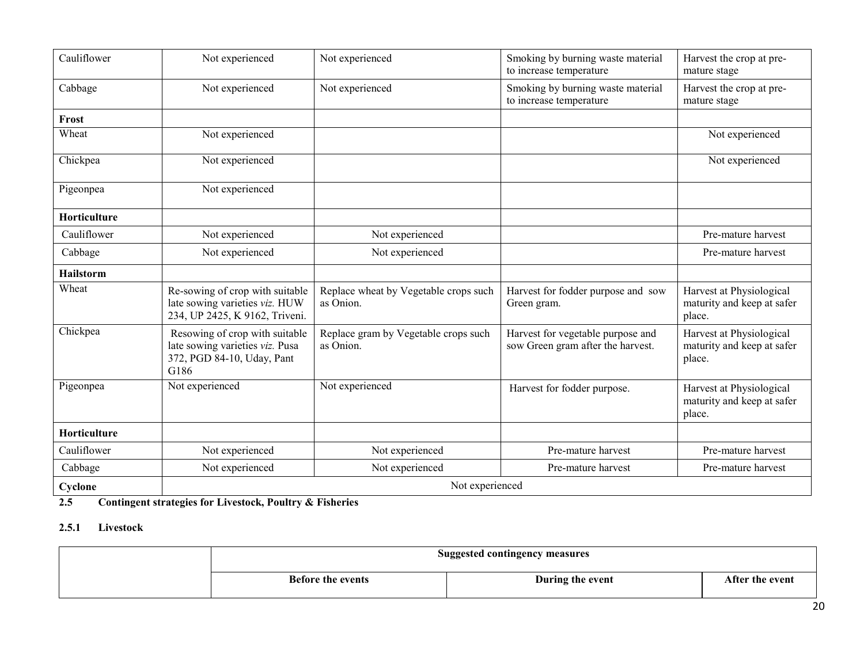| Cauliflower         | Not experienced                                                                                         | Not experienced                                                                 | Smoking by burning waste material<br>to increase temperature           |                                                                  |
|---------------------|---------------------------------------------------------------------------------------------------------|---------------------------------------------------------------------------------|------------------------------------------------------------------------|------------------------------------------------------------------|
| Cabbage             | Not experienced                                                                                         | Smoking by burning waste material<br>Not experienced<br>to increase temperature |                                                                        | Harvest the crop at pre-<br>mature stage                         |
| Frost               |                                                                                                         |                                                                                 |                                                                        |                                                                  |
| Wheat               | Not experienced                                                                                         |                                                                                 |                                                                        | Not experienced                                                  |
| Chickpea            | Not experienced                                                                                         |                                                                                 |                                                                        | Not experienced                                                  |
| Pigeonpea           | Not experienced                                                                                         |                                                                                 |                                                                        |                                                                  |
| <b>Horticulture</b> |                                                                                                         |                                                                                 |                                                                        |                                                                  |
| Cauliflower         | Not experienced                                                                                         | Not experienced                                                                 |                                                                        | Pre-mature harvest                                               |
| Cabbage             | Not experienced                                                                                         | Not experienced                                                                 |                                                                        | Pre-mature harvest                                               |
| Hailstorm           |                                                                                                         |                                                                                 |                                                                        |                                                                  |
| Wheat               | Re-sowing of crop with suitable<br>late sowing varieties viz. HUW<br>234, UP 2425, K 9162, Triveni.     | Replace wheat by Vegetable crops such<br>as Onion.                              | Harvest for fodder purpose and sow<br>Green gram.                      | Harvest at Physiological<br>maturity and keep at safer<br>place. |
| Chickpea            | Resowing of crop with suitable<br>late sowing varieties viz. Pusa<br>372, PGD 84-10, Uday, Pant<br>G186 | Replace gram by Vegetable crops such<br>as Onion.                               | Harvest for vegetable purpose and<br>sow Green gram after the harvest. | Harvest at Physiological<br>maturity and keep at safer<br>place. |
| Pigeonpea           | Not experienced                                                                                         | Not experienced                                                                 | Harvest for fodder purpose.                                            | Harvest at Physiological<br>maturity and keep at safer<br>place. |
| Horticulture        |                                                                                                         |                                                                                 |                                                                        |                                                                  |
| Cauliflower         | Not experienced                                                                                         | Not experienced                                                                 | Pre-mature harvest                                                     | Pre-mature harvest                                               |
| Cabbage             | Not experienced                                                                                         | Not experienced                                                                 | Pre-mature harvest                                                     | Pre-mature harvest                                               |
| Cyclone             | Not experienced                                                                                         |                                                                                 |                                                                        |                                                                  |

#### 2.5 Contingent strategies for Livestock, Poultry & Fisheries

#### 2.5.1 Livestock

| <b>Suggested contingency measures</b> |                  |                 |  |
|---------------------------------------|------------------|-----------------|--|
| <b>Before the events</b>              | During the event | After the event |  |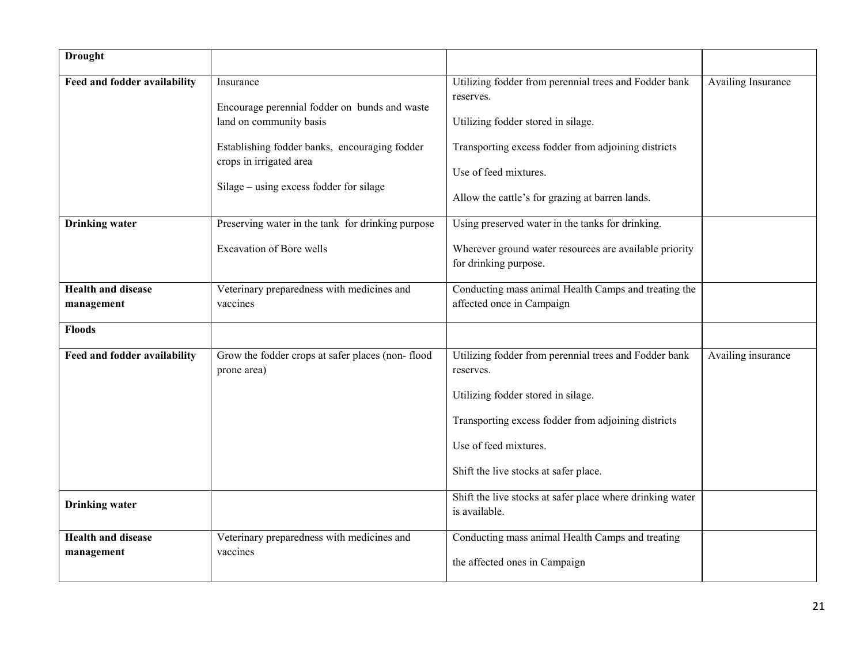| <b>Drought</b>                          |                                                                                                                                                                                                              |                                                                                                                                                                                                                                             |                    |
|-----------------------------------------|--------------------------------------------------------------------------------------------------------------------------------------------------------------------------------------------------------------|---------------------------------------------------------------------------------------------------------------------------------------------------------------------------------------------------------------------------------------------|--------------------|
| Feed and fodder availability            | Insurance<br>Encourage perennial fodder on bunds and waste<br>land on community basis<br>Establishing fodder banks, encouraging fodder<br>crops in irrigated area<br>Silage – using excess fodder for silage | Utilizing fodder from perennial trees and Fodder bank<br>reserves.<br>Utilizing fodder stored in silage.<br>Transporting excess fodder from adjoining districts<br>Use of feed mixtures.<br>Allow the cattle's for grazing at barren lands. | Availing Insurance |
| <b>Drinking</b> water                   | Preserving water in the tank for drinking purpose<br>Excavation of Bore wells                                                                                                                                | Using preserved water in the tanks for drinking.<br>Wherever ground water resources are available priority<br>for drinking purpose.                                                                                                         |                    |
| <b>Health and disease</b>               | Veterinary preparedness with medicines and                                                                                                                                                                   | Conducting mass animal Health Camps and treating the                                                                                                                                                                                        |                    |
| management                              | vaccines                                                                                                                                                                                                     | affected once in Campaign                                                                                                                                                                                                                   |                    |
| <b>Floods</b>                           |                                                                                                                                                                                                              |                                                                                                                                                                                                                                             |                    |
| Feed and fodder availability            | Grow the fodder crops at safer places (non-flood<br>prone area)                                                                                                                                              | Utilizing fodder from perennial trees and Fodder bank<br>reserves.<br>Utilizing fodder stored in silage.<br>Transporting excess fodder from adjoining districts<br>Use of feed mixtures.<br>Shift the live stocks at safer place.           | Availing insurance |
| <b>Drinking</b> water                   |                                                                                                                                                                                                              | Shift the live stocks at safer place where drinking water<br>is available.                                                                                                                                                                  |                    |
| <b>Health and disease</b><br>management | Veterinary preparedness with medicines and<br>vaccines                                                                                                                                                       | Conducting mass animal Health Camps and treating<br>the affected ones in Campaign                                                                                                                                                           |                    |